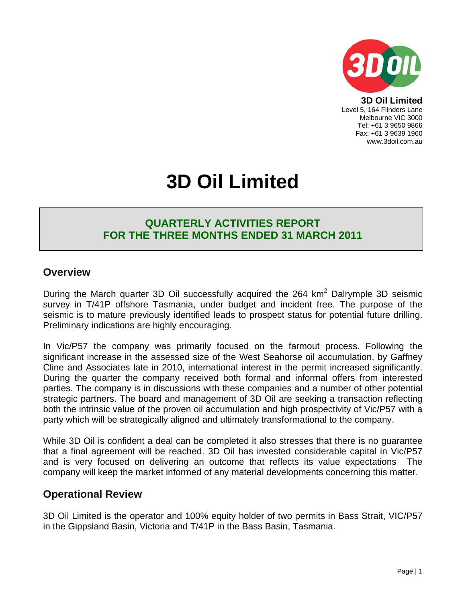

**3D Oil Limited**  Level 5, 164 Flinders Lane Melbourne VIC 3000 Tel: +61 3 9650 9866 Fax: +61 3 9639 1960 www.3doil.com.au

# **3D Oil Limited**

## **QUARTERLY ACTIVITIES REPORT FOR THE THREE MONTHS ENDED 31 MARCH 2011**

### **Overview**

During the March quarter 3D Oil successfully acquired the 264  $km<sup>2</sup>$  Dalrymple 3D seismic survey in T/41P offshore Tasmania, under budget and incident free. The purpose of the seismic is to mature previously identified leads to prospect status for potential future drilling. Preliminary indications are highly encouraging.

In Vic/P57 the company was primarily focused on the farmout process. Following the significant increase in the assessed size of the West Seahorse oil accumulation, by Gaffney Cline and Associates late in 2010, international interest in the permit increased significantly. During the quarter the company received both formal and informal offers from interested parties. The company is in discussions with these companies and a number of other potential strategic partners. The board and management of 3D Oil are seeking a transaction reflecting both the intrinsic value of the proven oil accumulation and high prospectivity of Vic/P57 with a party which will be strategically aligned and ultimately transformational to the company.

While 3D Oil is confident a deal can be completed it also stresses that there is no guarantee that a final agreement will be reached. 3D Oil has invested considerable capital in Vic/P57 and is very focused on delivering an outcome that reflects its value expectations The company will keep the market informed of any material developments concerning this matter.

### **Operational Review**

3D Oil Limited is the operator and 100% equity holder of two permits in Bass Strait, VIC/P57 in the Gippsland Basin, Victoria and T/41P in the Bass Basin, Tasmania.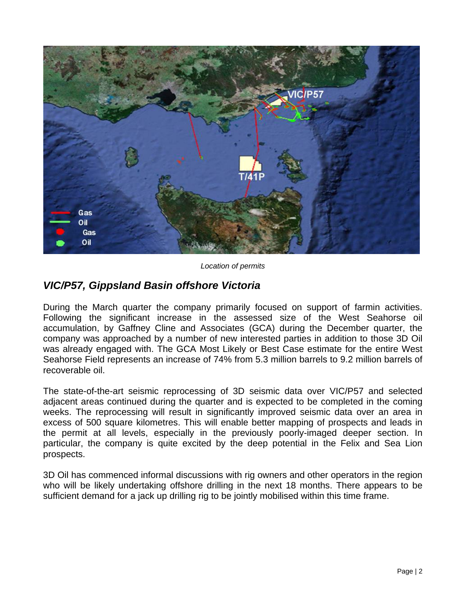

*Location of permits* 

## *VIC/P57, Gippsland Basin offshore Victoria*

During the March quarter the company primarily focused on support of farmin activities. Following the significant increase in the assessed size of the West Seahorse oil accumulation, by Gaffney Cline and Associates (GCA) during the December quarter, the company was approached by a number of new interested parties in addition to those 3D Oil was already engaged with. The GCA Most Likely or Best Case estimate for the entire West Seahorse Field represents an increase of 74% from 5.3 million barrels to 9.2 million barrels of recoverable oil.

The state-of-the-art seismic reprocessing of 3D seismic data over VIC/P57 and selected adjacent areas continued during the quarter and is expected to be completed in the coming weeks. The reprocessing will result in significantly improved seismic data over an area in excess of 500 square kilometres. This will enable better mapping of prospects and leads in the permit at all levels, especially in the previously poorly-imaged deeper section. In particular, the company is quite excited by the deep potential in the Felix and Sea Lion prospects.

3D Oil has commenced informal discussions with rig owners and other operators in the region who will be likely undertaking offshore drilling in the next 18 months. There appears to be sufficient demand for a jack up drilling rig to be jointly mobilised within this time frame.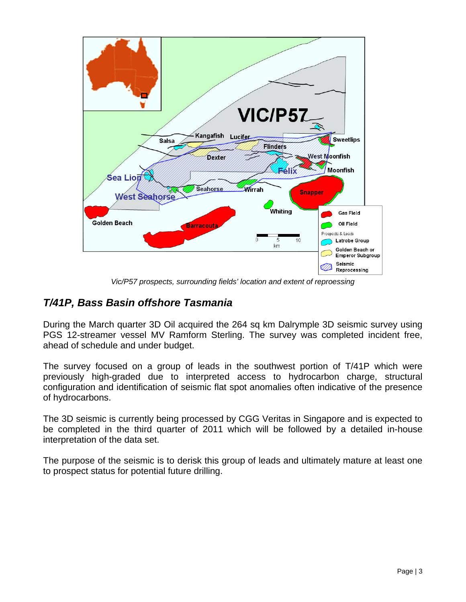

*Vic/P57 prospects, surrounding fields' location and extent of reproessing* 

## *T/41P, Bass Basin offshore Tasmania*

During the March quarter 3D Oil acquired the 264 sq km Dalrymple 3D seismic survey using PGS 12-streamer vessel MV Ramform Sterling. The survey was completed incident free, ahead of schedule and under budget.

The survey focused on a group of leads in the southwest portion of T/41P which were previously high-graded due to interpreted access to hydrocarbon charge, structural configuration and identification of seismic flat spot anomalies often indicative of the presence of hydrocarbons.

The 3D seismic is currently being processed by CGG Veritas in Singapore and is expected to be completed in the third quarter of 2011 which will be followed by a detailed in-house interpretation of the data set.

The purpose of the seismic is to derisk this group of leads and ultimately mature at least one to prospect status for potential future drilling.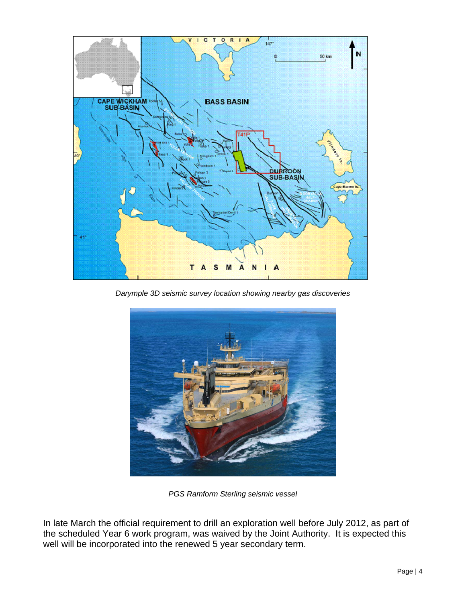

*Darymple 3D seismic survey location showing nearby gas discoveries* 



*PGS Ramform Sterling seismic vessel* 

In late March the official requirement to drill an exploration well before July 2012, as part of the scheduled Year 6 work program, was waived by the Joint Authority. It is expected this well will be incorporated into the renewed 5 year secondary term.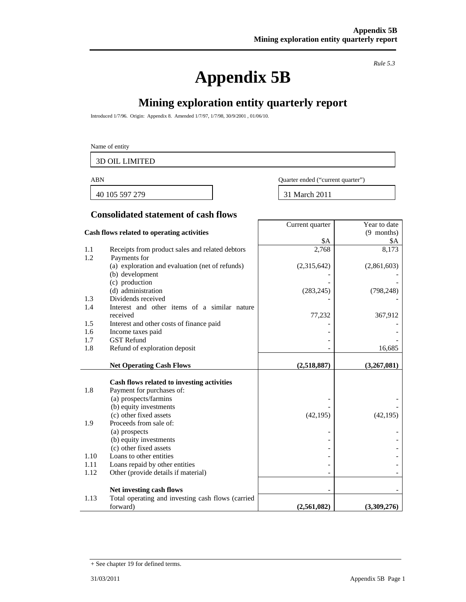# **Appendix 5B**

*Rule 5.3* 

Year to date

# **Mining exploration entity quarterly report**

Introduced 1/7/96. Origin: Appendix 8. Amended 1/7/97, 1/7/98, 30/9/2001 , 01/06/10.

#### Name of entity

3D OIL LIMITED

40 105 597 279 31 March 2011

ABN Quarter ended ("current quarter")

Current quarter

#### **Consolidated statement of cash flows**

|      | Cash flows related to operating activities                                    |             | (9 months)  |
|------|-------------------------------------------------------------------------------|-------------|-------------|
|      |                                                                               | \$A         | \$Α         |
| 1.1  | Receipts from product sales and related debtors                               | 2,768       | 8,173       |
| 1.2  | Payments for                                                                  |             |             |
|      | (a) exploration and evaluation (net of refunds)                               | (2,315,642) | (2,861,603) |
|      | (b) development                                                               |             |             |
|      | (c) production                                                                |             |             |
|      | (d) administration                                                            | (283, 245)  | (798, 248)  |
| 1.3  | Dividends received                                                            |             |             |
| 1.4  | Interest and other items of a similar nature                                  |             |             |
|      | received                                                                      | 77,232      | 367,912     |
| 1.5  | Interest and other costs of finance paid                                      |             |             |
| 1.6  | Income taxes paid                                                             |             |             |
| 1.7  | <b>GST</b> Refund                                                             |             |             |
| 1.8  | Refund of exploration deposit                                                 |             | 16,685      |
|      |                                                                               |             |             |
|      | <b>Net Operating Cash Flows</b>                                               | (2,518,887) | (3,267,081) |
|      |                                                                               |             |             |
|      |                                                                               |             |             |
|      | Cash flows related to investing activities                                    |             |             |
| 1.8  | Payment for purchases of:                                                     |             |             |
|      | (a) prospects/farmins                                                         |             |             |
|      | (b) equity investments                                                        |             |             |
|      | (c) other fixed assets                                                        | (42, 195)   | (42, 195)   |
| 1.9  | Proceeds from sale of:                                                        |             |             |
|      | (a) prospects                                                                 |             |             |
|      | (b) equity investments                                                        |             |             |
|      | (c) other fixed assets                                                        |             |             |
| 1.10 | Loans to other entities                                                       |             |             |
| 1.11 | Loans repaid by other entities                                                |             |             |
| 1.12 | Other (provide details if material)                                           |             |             |
|      |                                                                               |             |             |
| 1.13 | Net investing cash flows<br>Total operating and investing cash flows (carried |             |             |

<sup>+</sup> See chapter 19 for defined terms.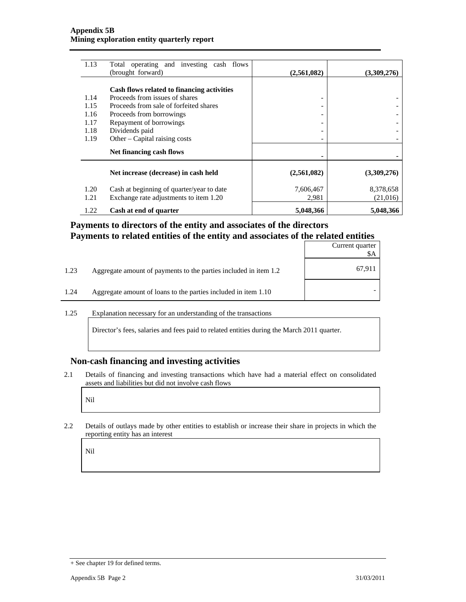| 1.13 | Total operating and investing cash flows<br>(brought forward) | (2,561,082) | (3,309,276) |
|------|---------------------------------------------------------------|-------------|-------------|
|      |                                                               |             |             |
|      | Cash flows related to financing activities                    |             |             |
| 1.14 | Proceeds from issues of shares                                | -           |             |
| 1.15 | Proceeds from sale of forfeited shares                        | -           |             |
| 1.16 | Proceeds from borrowings                                      | -           |             |
| 1.17 | Repayment of borrowings                                       | -           |             |
| 1.18 | Dividends paid                                                | -           |             |
| 1.19 | Other – Capital raising costs                                 |             |             |
|      | Net financing cash flows                                      |             |             |
|      | Net increase (decrease) in cash held                          | (2,561,082) | (3,309,276) |
| 1.20 | Cash at beginning of quarter/year to date                     | 7,606,467   | 8,378,658   |
| 1.21 | Exchange rate adjustments to item 1.20                        | 2,981       | (21,016)    |
| 1.22 | Cash at end of quarter                                        | 5,048,366   | 5,048,366   |

#### **Payments to directors of the entity and associates of the directors Payments to related entities of the entity and associates of the related entities**

|      |                                                                  | Current quarter |
|------|------------------------------------------------------------------|-----------------|
| 1.23 | Aggregate amount of payments to the parties included in item 1.2 | 67,911          |
| 1.24 | Aggregate amount of loans to the parties included in item 1.10   |                 |

#### 1.25 Explanation necessary for an understanding of the transactions

Director's fees, salaries and fees paid to related entities during the March 2011 quarter.

#### **Non-cash financing and investing activities**

2.1 Details of financing and investing transactions which have had a material effect on consolidated assets and liabilities but did not involve cash flows

Nil

2.2 Details of outlays made by other entities to establish or increase their share in projects in which the reporting entity has an interest

Nil

<sup>+</sup> See chapter 19 for defined terms.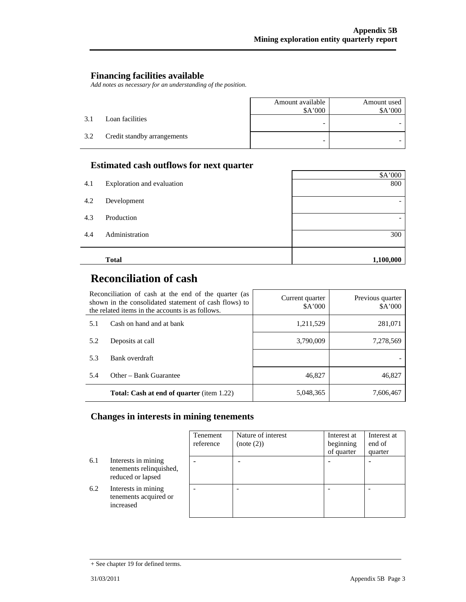#### **Financing facilities available**

*Add notes as necessary for an understanding of the position.* 

|     |                             | Amount available<br>\$A'000 | Amount used<br>\$A'000 |
|-----|-----------------------------|-----------------------------|------------------------|
| 3.1 | Loan facilities             |                             |                        |
| 3.2 | Credit standby arrangements | -                           |                        |

#### **Estimated cash outflows for next quarter**

|     |                            | \$A'000   |
|-----|----------------------------|-----------|
| 4.1 | Exploration and evaluation | 800       |
| 4.2 | Development                |           |
| 4.3 | Production                 |           |
| 4.4 | Administration             | 300       |
|     | <b>Total</b>               | 1,100,000 |

## **Reconciliation of cash**

| Reconciliation of cash at the end of the quarter (as<br>shown in the consolidated statement of cash flows) to<br>the related items in the accounts is as follows. |                                                  | Current quarter<br>A'000 | Previous quarter<br>\$A'000 |
|-------------------------------------------------------------------------------------------------------------------------------------------------------------------|--------------------------------------------------|--------------------------|-----------------------------|
| 5.1                                                                                                                                                               | Cash on hand and at bank                         | 1,211,529                | 281,071                     |
| 5.2                                                                                                                                                               | Deposits at call                                 | 3,790,009                | 7,278,569                   |
| 5.3                                                                                                                                                               | Bank overdraft                                   |                          |                             |
| 5.4                                                                                                                                                               | Other – Bank Guarantee                           | 46,827                   | 46,827                      |
|                                                                                                                                                                   | <b>Total: Cash at end of quarter</b> (item 1.22) | 5,048,365                | 7,606,467                   |

#### **Changes in interests in mining tenements**

|     |                                                                     | Tenement<br>reference | Nature of interest<br>(note (2)) | Interest at<br>beginning<br>of quarter | Interest at<br>end of<br>quarter |
|-----|---------------------------------------------------------------------|-----------------------|----------------------------------|----------------------------------------|----------------------------------|
| 6.1 | Interests in mining<br>tenements relinquished,<br>reduced or lapsed |                       |                                  |                                        |                                  |
| 6.2 | Interests in mining<br>tenements acquired or<br>increased           |                       |                                  |                                        |                                  |

<sup>+</sup> See chapter 19 for defined terms.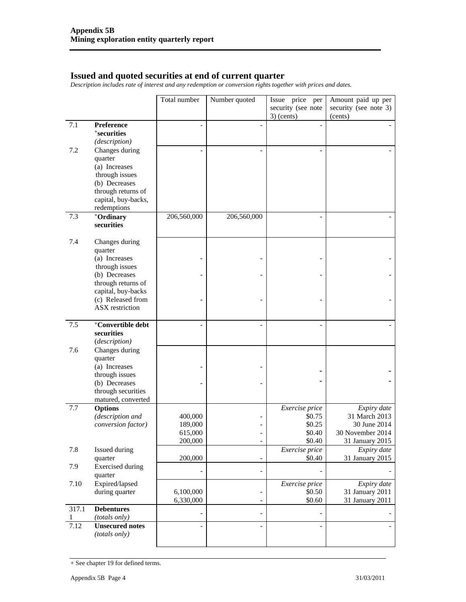#### **Issued and quoted securities at end of current quarter**

*Description includes rate of interest and any redemption or conversion rights together with prices and dates.* 

|            |                                                                                             | Total number           | Number quoted                | Issue price<br>per<br>security (see note | Amount paid up per<br>security (see note 3)       |
|------------|---------------------------------------------------------------------------------------------|------------------------|------------------------------|------------------------------------------|---------------------------------------------------|
|            |                                                                                             |                        |                              | $3)$ (cents)                             | (cents)                                           |
| 7.1        | <b>Preference</b><br>+securities<br>(description)                                           |                        | $\overline{a}$               |                                          |                                                   |
| 7.2        | Changes during<br>quarter<br>(a) Increases                                                  |                        |                              |                                          |                                                   |
|            | through issues<br>(b) Decreases<br>through returns of<br>capital, buy-backs,<br>redemptions |                        |                              |                                          |                                                   |
| 7.3        | +Ordinary<br>securities                                                                     | 206,560,000            | 206,560,000                  |                                          |                                                   |
| 7.4        | Changes during<br>quarter                                                                   |                        |                              |                                          |                                                   |
|            | (a) Increases<br>through issues                                                             |                        |                              |                                          |                                                   |
|            | (b) Decreases<br>through returns of                                                         |                        |                              |                                          |                                                   |
|            | capital, buy-backs<br>(c) Released from<br>ASX restriction                                  |                        |                              |                                          |                                                   |
| 7.5        | +Convertible debt<br>securities<br>(description)                                            |                        |                              |                                          |                                                   |
| 7.6        | Changes during<br>quarter                                                                   |                        |                              |                                          |                                                   |
|            | (a) Increases<br>through issues                                                             |                        |                              |                                          |                                                   |
|            | (b) Decreases<br>through securities<br>matured, converted                                   |                        |                              |                                          |                                                   |
| 7.7        | <b>Options</b><br>(description and                                                          | 400,000                | $\overline{\phantom{0}}$     | Exercise price<br>\$0.75                 | Expiry date<br>31 March 2013                      |
|            | conversion factor)                                                                          | 189,000<br>615,000     | $\qquad \qquad \blacksquare$ | \$0.25<br>\$0.40                         | 30 June 2014<br>30 November 2014                  |
|            |                                                                                             | 200,000                | $\qquad \qquad -$            | \$0.40                                   | 31 January 2015                                   |
| 7.8        | <b>Issued during</b><br>quarter                                                             | 200,000                | $\overline{\phantom{0}}$     | Exercise price<br>\$0.40                 | Expiry date<br>31 January 2015                    |
| 7.9        | <b>Exercised</b> during<br>quarter                                                          |                        | $\overline{a}$               |                                          |                                                   |
| 7.10       | Expired/lapsed<br>during quarter                                                            | 6,100,000<br>6,330,000 | $\qquad \qquad \blacksquare$ | Exercise price<br>\$0.50<br>\$0.60       | Expiry date<br>31 January 2011<br>31 January 2011 |
| 317.1<br>1 | <b>Debentures</b><br>(totals only)                                                          |                        | $\overline{a}$               |                                          |                                                   |
| 7.12       | <b>Unsecured notes</b><br>(totals only)                                                     |                        | $\overline{\phantom{0}}$     |                                          |                                                   |

<sup>+</sup> See chapter 19 for defined terms.